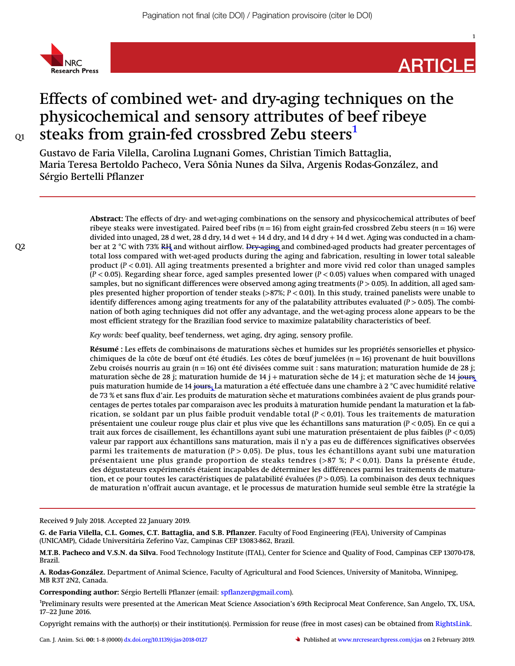

# ARTICLE

1

# Effects of combined wet- and dry-aging techniques on the physicochemical and sensory attributes of beef ribeye  $\alpha$  steaks from grain-fed crossbred Zebu steers<sup>[1](#page-0-0)</sup>

Gustavo de Faria Vilella, Carolina Lugnani Gomes, Christian Timich Battaglia, Maria Teresa Bertoldo Pacheco, Vera Sônia Nunes da Silva, Argenis Rodas-González, and Sérgio Bertelli Pflanzer

Abstract: The effects of dry- and wet-aging combinations on the sensory and physicochemical attributes of beef ribeye steaks were investigated. Paired beef ribs ( $n = 16$ ) from eight grain-fed crossbred Zebu steers ( $n = 16$ ) were divided into unaged, 28 d wet, 28 d dry, 14 d wet  $+$  14 d dry, and 14 d dry  $+$  14 d wet. Aging was conducted in a cham-Q2 ber at 2 °C with 73% RH and without airflow. Dry-aging and combined-aged products had greater percentages of total loss compared with wet-aged products during the aging and fabrication, resulting in lower total saleable product  $(P < 0.01)$ . All aging treatments presented a brighter and more vivid red color than unaged samples  $(P < 0.05)$ . Regarding shear force, aged samples presented lower  $(P < 0.05)$  values when compared with unaged samples, but no significant differences were observed among aging treatments  $(P > 0.05)$ . In addition, all aged samples presented higher proportion of tender steaks  $(>87\%)$ ;  $P < 0.01$ ). In this study, trained panelists were unable to identify differences among aging treatments for any of the palatability attributes evaluated  $(P > 0.05)$ . The combination of both aging techniques did not offer any advantage, and the wet-aging process alone appears to be the most efficient strategy for the Brazilian food service to maximize palatability characteristics of beef.

Key words: beef quality, beef tenderness, wet aging, dry aging, sensory profile.

Résumé : Les effets de combinaisons de maturations sèches et humides sur les propriétés sensorielles et physicochimiques de la côte de bœuf ont été étudiés. Les côtes de bœuf jumelées ( $n = 16$ ) provenant de huit bouvillons Zebu croisés nourris au grain ( $n = 16$ ) ont été divisées comme suit : sans maturation; maturation humide de 28 j; maturation sèche de 28 j; maturation humide de 14 j + maturation sèche de 14 j; et maturation sèche de 14 jours puis maturation humide de 14 jours. La maturation a été effectuée dans une chambre à 2 °C avec humidité relative de 73 % et sans flux d'air. Les produits de maturation sèche et maturations combinées avaient de plus grands pourcentages de pertes totales par comparaison avec les produits à maturation humide pendant la maturation et la fabrication, se soldant par un plus faible produit vendable total  $(P < 0.01)$ . Tous les traitements de maturation présentaient une couleur rouge plus clair et plus vive que les échantillons sans maturation (P < 0,05). En ce qui a trait aux forces de cisaillement, les échantillons ayant subi une maturation présentaient de plus faibles (P < 0,05) valeur par rapport aux échantillons sans maturation, mais il n'y a pas eu de différences significatives observées parmi les traitements de maturation ( $P > 0.05$ ). De plus, tous les échantillons ayant subi une maturation présentaient une plus grande proportion de steaks tendres (>87 %; P < 0,01). Dans la présente étude, des dégustateurs expérimentés étaient incapables de déterminer les différences parmi les traitements de maturation, et ce pour toutes les caractéristiques de palatabilité évaluées ( $P > 0.05$ ). La combinaison des deux techniques de maturation n'offrait aucun avantage, et le processus de maturation humide seul semble être la stratégie la

Received 9 July 2018. Accepted 22 January 2019.

G. de Faria Vilella, C.L. Gomes, C.T. Battaglia, and S.B. Pflanzer. Faculty of Food Engineering (FEA), University of Campinas (UNICAMP), Cidade Universitária Zeferino Vaz, Campinas CEP 13083-862, Brazil.

M.T.B. Pacheco and V.S.N. da Silva. Food Technology Institute (ITAL), Center for Science and Quality of Food, Campinas CEP 13070-178, Brazil.

A. Rodas-González. Department of Animal Science, Faculty of Agricultural and Food Sciences, University of Manitoba, Winnipeg, MB R3T 2N2, Canada.

<span id="page-0-0"></span>**Corresponding author:** Sérgio Bertelli Pflanzer (email: [spflanzer@gmail.com\)](mailto:spflanzer@gmail.com).

<sup>1</sup>Preliminary results were presented at the American Meat Science Association's 69th Reciprocal Meat Conference, San Angelo, TX, USA, MB R3T 2N2, Ca<br>**Corresponding**<br><sup>1</sup>Preliminary res<br>17–22 June 2016.

Copyright remains with the author(s) or their institution(s). Permission for reuse (free in most cases) can be obtained from [RightsLink](http://www.nrcresearchpress.com/page/authors/services/reprints). 1/−22 june 2010.<br>Copyright remains with the author(s) or their institution(s). Permission for reuse (free in most cases) can be obtained from RightsLink.<br>Can. J. Anim. Sci. 00: 1–8 (0000) [dx.doi.org/10.1139/cjas-2018-0127](http://dx.doi.org/10.1139/cjas-2018-0127)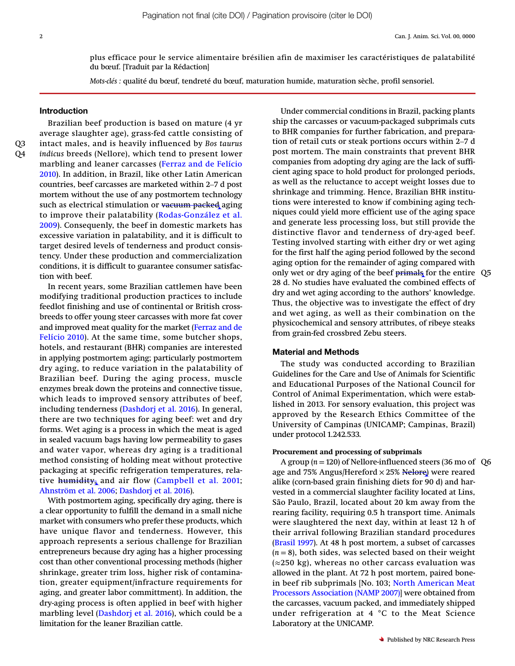plus efficace pour le service alimentaire brésilien afin de maximiser les caractéristiques de palatabilité du bœuf. [Traduit par la Rédaction]

Mots-clés : qualité du bœuf, tendreté du bœuf, maturation humide, maturation sèche, profil sensoriel.

#### Introduction

Brazilian beef production is based on mature (4 yr average slaughter age), grass-fed cattle consisting of Q3 intact males, and is heavily influenced by Bos taurus Q4 *indicus* breeds (Nellore), which tend to present lower<br>marbling and leaner carcasses (Ferraz and de Felício<br>2010). In addition, in Brazil, like other Latin American<br>countries, beef carcasses are marketed within 2–7 d p marbling and leaner carcasses ([Ferraz and de Felício](#page-6-0) [2010\)](#page-6-0). In addition, in Brazil, like other Latin American mortem without the use of any postmortem technology such as electrical stimulation or vacuum packed aging to improve their palatability ([Rodas-González et al.](#page-6-1) [2009](#page-6-1)). Consequenly, the beef in domestic markets has excessive variation in palatability, and it is difficult to target desired levels of tenderness and product consistency. Under these production and commercialization conditions, it is difficult to guarantee consumer satisfaction with beef.

In recent years, some Brazilian cattlemen have been modifying traditional production practices to include feedlot finishing and use of continental or British crossbreeds to offer young steer carcasses with more fat cover and improved meat quality for the market ([Ferraz and de](#page-6-0) [Felício 2010](#page-6-0)). At the same time, some butcher shops, hotels, and restaurant (BHR) companies are interested in applying postmortem aging; particularly postmortem dry aging, to reduce variation in the palatability of Brazilian beef. During the aging process, muscle enzymes break down the proteins and connective tissue, which leads to improved sensory attributes of beef, including tenderness ([Dashdorj et al. 2016](#page-6-2)). In general, there are two techniques for aging beef: wet and dry forms. Wet aging is a process in which the meat is aged in sealed vacuum bags having low permeability to gases and water vapor, whereas dry aging is a traditional method consisting of holding meat without protective packaging at specific refrigeration temperatures, relative **humidity**, and air flow ([Campbell et al. 2001](#page-6-3); [Ahnström et al. 2006;](#page-6-4) [Dashdorj et al. 2016](#page-6-2)).

With postmortem aging, specifically dry aging, there is a clear opportunity to fulfill the demand in a small niche market with consumers who prefer these products, which have unique flavor and tenderness. However, this approach represents a serious challenge for Brazilian entrepreneurs because dry aging has a higher processing cost than other conventional processing methods (higher shrinkage, greater trim loss, higher risk of contamination, greater equipment/infracture requirements for aging, and greater labor committment). In addition, the dry-aging process is often applied in beef with higher marbling level ([Dashdorj et al. 2016](#page-6-2)), which could be a limitation for the leaner Brazilian cattle.

Under commercial conditions in Brazil, packing plants<br>ship the carcasses or vacuum-packaged subprimals cuts<br>to BHR companies for further fabrication, and prepara-<br>tion of retail cuts or steak portions occurs within 2–7 d ship the carcasses or vacuum-packaged subprimals cuts to BHR companies for further fabrication, and preparapost mortem. The main constraints that prevent BHR companies from adopting dry aging are the lack of sufficient aging space to hold product for prolonged periods, as well as the reluctance to accept weight losses due to shrinkage and trimming. Hence, Brazilian BHR institutions were interested to know if combining aging techniques could yield more efficient use of the aging space and generate less processing loss, but still provide the distinctive flavor and tenderness of dry-aged beef. Testing involved starting with either dry or wet aging for the first half the aging period followed by the second aging option for the remainder of aging compared with only wet or dry aging of the beef primals for the entire Q5 28 d. No studies have evaluated the combined effects of dry and wet aging according to the authors' knowledge. Thus, the objective was to investigate the effect of dry and wet aging, as well as their combination on the physicochemical and sensory attributes, of ribeye steaks from grain-fed crossbred Zebu steers.

#### Material and Methods

The study was conducted according to Brazilian Guidelines for the Care and Use of Animals for Scientific and Educational Purposes of the National Council for Control of Animal Experimentation, which were established in 2013. For sensory evaluation, this project was approved by the Research Ethics Committee of the University of Campinas (UNICAMP; Campinas, Brazil) under protocol 1.242.533.

#### Procurement and processing of subprimals

A group ( $n = 120$ ) of Nellore-influenced steers (36 mo of Q6 age and 75% Angus/Hereford × 25% <del>Nelore</del>) were reared alike (corn-based grain finishing diets for 90 d) and harvested in a commercial slaughter facility located at Lins, São Paulo, Brazil, located about 20 km away from the rearing facility, requiring 0.5 h transport time. Animals were slaughtered the next day, within at least 12 h of their arrival following Brazilian standard procedures ([Brasil 1997\)](#page-6-5). At 48 h post mortem, a subset of carcasses  $(n = 8)$ , both sides, was selected based on their weight  $(\approx 250 \text{ kg})$ , whereas no other carcass evaluation was allowed in the plant. At 72 h post mortem, paired bonein beef rib subprimals [No. 103; [North American Meat](#page-6-6) [Processors Association \(NAMP 2007\)\]](#page-6-6) were obtained from the carcasses, vacuum packed, and immediately shipped under refrigeration at 4 °C to the Meat Science Laboratory at the UNICAMP.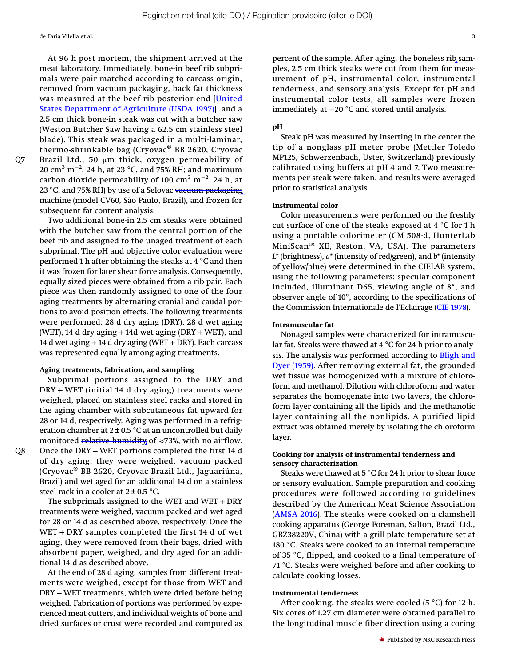de Faria Vilella et al. 3

At 96 h post mortem, the shipment arrived at the meat laboratory. Immediately, bone-in beef rib subprimals were pair matched according to carcass origin, removed from vacuum packaging, back fat thickness was measured at the beef rib posterior end [[United](#page-6-5) [States Department of Agriculture \(USDA 1997\)](#page-6-5)], and a 2.5 cm thick bone-in steak was cut with a butcher saw (Weston Butcher Saw having a 62.5 cm stainless steel blade). This steak was packaged in a multi-laminar, thermo-shrinkable bag (Cryovac® BB 2620, Cryovac Q7 Brazil Ltd., 50 μm thick, oxygen permeability of  $20~{\rm cm}^3~{\rm m}^{-2}$ , 24 h, at 23 °C, and 75% RH; and maximum carbon dioxide permeability of 100  $\rm cm^3~m^{-2}$ , 24 h, at 23 °C, and 75% RH) by use of a Selovac vacuum packaging machine (model CV60, São Paulo, Brazil), and frozen for subsequent fat content analysis.

Two additional bone-in 2.5 cm steaks were obtained with the butcher saw from the central portion of the beef rib and assigned to the unaged treatment of each subprimal. The pH and objective color evaluation were performed 1 h after obtaining the steaks at 4 °C and then it was frozen for later shear force analysis. Consequently, equally sized pieces were obtained from a rib pair. Each piece was then randomly assigned to one of the four aging treatments by alternating cranial and caudal portions to avoid position effects. The following treatments were performed: 28 d dry aging (DRY), 28 d wet aging (WET), 14 d dry aging  $+$  14d wet aging (DRY  $+$  WET), and 14 d wet aging + 14 d dry aging (WET + DRY). Each carcass was represented equally among aging treatments.

#### Aging treatments, fabrication, and sampling

Subprimal portions assigned to the DRY and DRY + WET (initial 14 d dry aging) treatments were weighed, placed on stainless steel racks and stored in the aging chamber with subcutaneous fat upward for 28 or 14 d, respectively. Aging was performed in a refrigeration chamber at  $2 \pm 0.5$  °C at an uncontrolled but daily monitored relative humidity of  $\approx 73\%$ , with no airflow. Q8 Once the DRY + WET portions completed the first 14 d of dry aging, they were weighed, vacuum packed (Cryovac® BB 2620, Cryovac Brazil Ltd., Jaguariúna, Brazil) and wet aged for an additional 14 d on a stainless steel rack in a cooler at  $2 \pm 0.5$  °C.

> The subprimals assigned to the WET and WET +  $DRY$ treatments were weighed, vacuum packed and wet aged for 28 or 14 d as described above, respectively. Once the WET + DRY samples completed the first 14 d of wet aging, they were removed from their bags, dried with absorbent paper, weighed, and dry aged for an additional 14 d as described above.

> At the end of 28 d aging, samples from different treatments were weighed, except for those from WET and DRY + WET treatments, which were dried before being weighed. Fabrication of portions was performed by experienced meat cutters, and individual weights of bone and dried surfaces or crust were recorded and computed as

percent of the sample. After aging, the boneless  $\overrightarrow{H}$  samples, 2.5 cm thick steaks were cut from them for measurement of pH, instrumental color, instrumental tenderness, and sensory analysis. Except for pH and instrumental color tests, all samples were frozen immediately at −20 °C and stored until analysis.

## pH

Steak pH was measured by inserting in the center the tip of a nonglass pH meter probe (Mettler Toledo MP125, Schwerzenbach, Uster, Switzerland) previously calibrated using buffers at pH 4 and 7. Two measurements per steak were taken, and results were averaged prior to statistical analysis.

#### Instrumental color

Color measurements were performed on the freshly cut surface of one of the steaks exposed at 4 °C for 1 h using a portable colorimeter (CM 508-d, HunterLab MiniScan™ XE, Reston, VA, USA). The parameters  $L^*$  (brightness),  $a^*$  (intensity of red/green), and  $b^*$  (intensity of yellow/blue) were determined in the CIELAB system, using the following parameters: specular component included, illuminant D65, viewing angle of 8°, and observer angle of 10°, according to the specifications of the Commission Internationale de l'Eclairage [\(CIE 1978\)](#page-6-7).

# Intramuscular fat

Nonaged samples were characterized for intramuscular fat. Steaks were thawed at 4 °C for 24 h prior to analysis. The analysis was performed according to [Bligh and](#page-6-8) [Dyer \(1959\).](#page-6-8) After removing external fat, the grounded wet tissue was homogenized with a mixture of chloroform and methanol. Dilution with chloroform and water separates the homogenate into two layers, the chloroform layer containing all the lipids and the methanolic layer containing all the nonlipids. A purified lipid extract was obtained merely by isolating the chloroform layer.

#### Cooking for analysis of instrumental tenderness and sensory characterization

Steaks were thawed at 5 °C for 24 h prior to shear force or sensory evaluation. Sample preparation and cooking procedures were followed according to guidelines described by the American Meat Science Association ([AMSA 2016\)](#page-6-9). The steaks were cooked on a clamshell cooking apparatus (George Foreman, Salton, Brazil Ltd., GBZ38220V, China) with a grill-plate temperature set at 180 °C. Steaks were cooked to an internal temperature of 35 °C, flipped, and cooked to a final temperature of 71 °C. Steaks were weighed before and after cooking to calculate cooking losses.

#### Instrumental tenderness

After cooking, the steaks were cooled (5  $^{\circ}$ C) for 12 h. Six cores of 1.27 cm diameter were obtained parallel to the longitudinal muscle fiber direction using a coring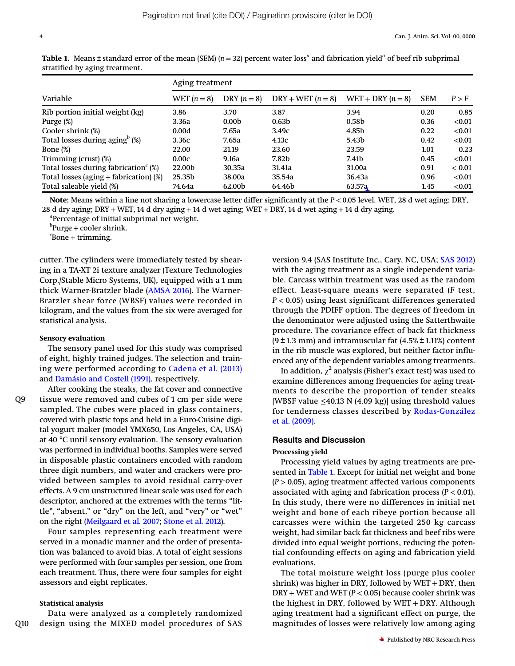|                                              | Aging treatment |                   |                     |                     |            |        |
|----------------------------------------------|-----------------|-------------------|---------------------|---------------------|------------|--------|
| Variable                                     | WET $(n=8)$     | DRY $(n=8)$       | $DRY + WET (n = 8)$ | WET + DRY $(n = 8)$ | <b>SEM</b> | P > F  |
| Rib portion initial weight (kg)              | 3.86            | 3.70              | 3.87                | 3.94                | 0.20       | 0.85   |
| Purge (%)                                    | 3.36a           | 0.00 <sub>b</sub> | 0.63 <sub>b</sub>   | 0.58 <sub>b</sub>   | 0.36       | < 0.01 |
| Cooler shrink (%)                            | 0.00d           | 7.65a             | 3.49c               | 4.85b               | 0.22       | < 0.01 |
| Total losses during aging $\mathfrak{g}$ (%) | 3.36c           | 7.65a             | 4.13c               | 5.43b               | 0.42       | < 0.01 |
| Bone $(\%)$                                  | 22.00           | 21.19             | 23.60               | 23.59               | 1.01       | 0.23   |
| Trimming (crust) (%)                         | 0.00c           | 9.16a             | 7.82b               | 7.41b               | 0.45       | < 0.01 |
| Total losses during fabrication $(\%)$       | 22.00b          | 30.35a            | 31.41a              | 31.00a              | 0.91       | < 0.01 |
| Total losses (aging $+$ fabrication) (%)     | 25.35b          | 38.00a            | 35.54a              | 36.43a              | 0.96       | < 0.01 |
| Total saleable yield (%)                     | 74.64a          | 62.00b            | 64.46b              | 63.57a              | 1.45       | < 0.01 |

<span id="page-3-0"></span>**Table 1.** Means ± standard error of the mean (SEM) ( $n = 32$ ) percent water loss<sup>*a*</sup> and fabrication yield<sup>*a*</sup> of beef rib subprimal stratified by aging treatment.

Note: Means within a line not sharing a lowercase letter differ significantly at the  $P < 0.05$  level. WET, 28 d wet aging; DRY, 28 d dry aging; DRY + WET, 14 d dry aging + 14 d wet aging; WET + DRY, 14 d wet aging + 14 d dry aging.

<sup>a</sup>Percentage of initial subprimal net weight.

 ${}^{b}$ Purge + cooler shrink.

 ${}^c$ Bone + trimming.

cutter. The cylinders were immediately tested by shearing in a TA-XT 2i texture analyzer (Texture Technologies Corp./Stable Micro Systems, UK), equipped with a 1 mm thick Warner-Bratzler blade [\(AMSA 2016](#page-6-9)). The Warner-Bratzler shear force (WBSF) values were recorded in kilogram, and the values from the six were averaged for statistical analysis.

#### Sensory evaluation

The sensory panel used for this study was comprised of eight, highly trained judges. The selection and training were performed according to [Cadena et al. \(2013\)](#page-6-10) and [Damásio and Costell \(1991\)](#page-6-11), respectively.

After cooking the steaks, the fat cover and connective Q9 tissue were removed and cubes of 1 cm per side were sampled. The cubes were placed in glass containers, covered with plastic tops and held in a Euro-Cuisine digital yogurt maker (model YMX650, Los Angeles, CA, USA) at 40 °C until sensory evaluation. The sensory evaluation was performed in individual booths. Samples were served in disposable plastic containers encoded with random three digit numbers, and water and crackers were provided between samples to avoid residual carry-over effects. A 9 cm unstructured linear scale was used for each descriptor, anchored at the extremes with the terms "little", "absent," or "dry" on the left, and "very" or "wet" on the right ([Meilgaard et al. 2007;](#page-6-12) [Stone et al. 2012\)](#page-7-0).

> Four samples representing each treatment were served in a monadic manner and the order of presentation was balanced to avoid bias. A total of eight sessions were performed with four samples per session, one from each treatment. Thus, there were four samples for eight assessors and eight replicates.

#### Statistical analysis

Data were analyzed as a completely randomized Q10 design using the MIXED model procedures of SAS version 9.4 (SAS Institute Inc., Cary, NC, USA; [SAS 2012](#page-6-13)) with the aging treatment as a single independent variable. Carcass within treatment was used as the random effect. Least-square means were separated (F test, P < 0.05) using least significant differences generated through the PDIFF option. The degrees of freedom in the denominator were adjusted using the Satterthwaite procedure. The covariance effect of back fat thickness  $(9 \pm 1.3 \text{ mm})$  and intramuscular fat  $(4.5\% \pm 1.11\%)$  content in the rib muscle was explored, but neither factor influenced any of the dependent variables among treatments.

In addition,  $\chi^2$  analysis (Fisher's exact test) was used to examine differences among frequencies for aging treatments to describe the proportion of tender steaks [WBSF value  $\leq$ 40.13 N (4.09 kg)] using threshold values for tenderness classes described by [Rodas-González](#page-6-1) [et al. \(2009\)](#page-6-1).

#### Results and Discussion

#### Processing yield

Processing yield values by aging treatments are pre-sented in [Table 1](#page-3-0). Except for initial net weight and bone  $(P > 0.05)$ , aging treatment affected various components associated with aging and fabrication process ( $P < 0.01$ ). In this study, there were no differences in initial net weight and bone of each ribeye portion because all carcasses were within the targeted 250 kg carcass weight, had similar back fat thickness and beef ribs were divided into equal weight portions, reducing the potential confounding effects on aging and fabrication yield evaluations.

The total moisture weight loss (purge plus cooler shrink) was higher in DRY, followed by WET + DRY, then  $DRY + WET$  and WET ( $P < 0.05$ ) because cooler shrink was the highest in DRY, followed by WET + DRY. Although aging treatment had a significant effect on purge, the magnitudes of losses were relatively low among aging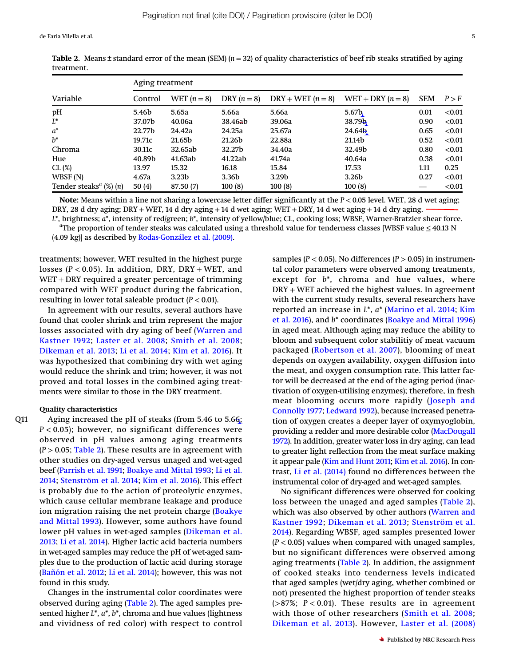de Faria Vilella et al. 5

| Variable                                                 | Aging treatment |                   |                      |                     |                     |            |        |
|----------------------------------------------------------|-----------------|-------------------|----------------------|---------------------|---------------------|------------|--------|
|                                                          | Control         | WET $(n=8)$       | DRY $(n=8)$          | $DRY + WET (n = 8)$ | WET + DRY $(n = 8)$ | <b>SEM</b> | P > F  |
| pH                                                       | 5.46b           | 5.65a             | 5.66a                | 5.66a               | 5.67 <sub>b</sub>   | 0.01       | < 0.01 |
| $L^*$                                                    | 37.07b          | 40.06a            | 38.46 <del>a</del> b | 39.06a              | 38.79b              | 0.90       | < 0.01 |
| $a^*$                                                    | 22.77b          | 24.42a            | 24.25a               | 25.67a              | 24.64 <sub>b</sub>  | 0.65       | < 0.01 |
| $h^*$                                                    | 19.71c          | 21.65b            | 21.26b               | 22.88a              | 21.14b              | 0.52       | < 0.01 |
| Chroma                                                   | 30.11c          | 32.65ab           | 32.27b               | 34.40a              | 32.49b              | 0.80       | < 0.01 |
| Hue                                                      | 40.89b          | 41.63ab           | 41.22ab              | 41.74a              | 40.64a              | 0.38       | < 0.01 |
| CL (%)                                                   | 13.97           | 15.32             | 16.18                | 15.84               | 17.53               | 1.11       | 0.25   |
| WBSF (N)                                                 | 4.67a           | 3.23 <sub>b</sub> | 3.36b                | 3.29b               | 3.26b               | 0.27       | < 0.01 |
| Tender steaks <sup><math>a</math></sup> (%) ( <i>n</i> ) | 50(4)           | 87.50 (7)         | 100(8)               | 100(8)              | 100(8)              |            | < 0.01 |

<span id="page-4-0"></span>**Table 2.** Means  $\pm$  standard error of the mean (SEM) ( $n = 32$ ) of quality characteristics of beef rib steaks stratified by aging treatment.

Note: Means within a line not sharing a lowercase letter differ significantly at the  $P < 0.05$  level. WET, 28 d wet aging; DRY, 28 d dry aging; DRY + WET, 14 d dry aging + 14 d wet aging; WET + DRY, 14 d wet aging + 14 d dry aging. <sup>L</sup>\*, brightness; <sup>a</sup>\*, intensity of red/green; <sup>b</sup>\*, intensity of yellow/blue; CL, cooking loss; WBSF, Warner-Bratzler shear force. <sup>a</sup>

 $^a$ The proportion of tender steaks was calculated using a threshold value for tenderness classes [WBSF value  $\leq$  40.13 N (4.09 kg)] as described by [Rodas-González et al. \(2009\).](#page-6-1)

treatments; however, WET resulted in the highest purge losses ( $P < 0.05$ ). In addition, DRY, DRY + WET, and WET + DRY required a greater percentage of trimming compared with WET product during the fabrication, resulting in lower total saleable product  $(P < 0.01)$ .

In agreement with our results, several authors have found that cooler shrink and trim represent the major losses associated with dry aging of beef ([Warren and](#page-7-1) [Kastner 1992;](#page-7-1) [Laster et al. 2008;](#page-6-14) [Smith et al. 2008](#page-6-15); [Dikeman et al. 2013](#page-6-16); [Li et al. 2014;](#page-6-17) [Kim et al. 2016\)](#page-6-18). It was hypothesized that combining dry with wet aging would reduce the shrink and trim; however, it was not proved and total losses in the combined aging treatments were similar to those in the DRY treatment.

#### Quality characteristics

Q11 Aging increased the pH of steaks (from 5.46 to 5.66;  $P < 0.05$ ); however, no significant differences were observed in pH values among aging treatments  $(P > 0.05;$  [Table 2](#page-4-0)). These results are in agreement with other studies on dry-aged versus unaged and wet-aged beef ([Parrish et al. 1991;](#page-6-19) [Boakye and Mittal 1993](#page-6-20); [Li et al.](#page-6-17) [2014;](#page-6-17) [Stenström et al. 2014](#page-6-21); [Kim et al. 2016\)](#page-6-18). This effect is probably due to the action of proteolytic enzymes, which cause cellular membrane leakage and produce ion migration raising the net protein charge ([Boakye](#page-6-20) [and Mittal 1993\)](#page-6-20). However, some authors have found lower pH values in wet-aged samples ([Dikeman et al.](#page-6-16) [2013](#page-6-16); [Li et al. 2014](#page-6-17)). Higher lactic acid bacteria numbers in wet-aged samples may reduce the pH of wet-aged samples due to the production of lactic acid during storage ([Ba](#page-6-22)ñón et al. 2012; [Li et al. 2014\)](#page-6-17); however, this was not found in this study.

> Changes in the instrumental color coordinates were observed during aging [\(Table 2\)](#page-4-0). The aged samples presented higher  $L^*$ ,  $a^*$ ,  $b^*$ , chroma and hue values (lightness and vividness of red color) with respect to control

samples ( $P < 0.05$ ). No differences ( $P > 0.05$ ) in instrumental color parameters were observed among treatments, except for  $b^*$ , chroma and hue values, where DRY + WET achieved the highest values. In agreement with the current study results, several researchers have reported an increase in L\*, a\* [\(Marino et al. 2014](#page-6-23); [Kim](#page-6-18) [et al. 2016](#page-6-18)), and  $b^*$  coordinates [\(Boakye and Mittal 1996](#page-6-24)) in aged meat. Although aging may reduce the ability to bloom and subsequent color stabilitiy of meat vacuum packaged ([Robertson et al. 2007\)](#page-6-25), blooming of meat depends on oxygen availability, oxygen diffusion into the meat, and oxygen consumption rate. This latter factor will be decreased at the end of the aging period (inactivation of oxygen-utilising enzymes); therefore, in fresh meat blooming occurs more rapidly ([Joseph and](#page-6-26) [Connolly 1977](#page-6-26); [Ledward 1992\)](#page-6-27), because increased penetration of oxygen creates a deeper layer of oxymyoglobin, providing a redder and more desirable color [\(MacDougall](#page-6-28) [1972](#page-6-28)). In addition, greater water loss in dry aging, can lead to greater light reflection from the meat surface making it appear pale ([Kim and Hunt 2011](#page-6-29); [Kim et al. 2016\)](#page-6-18). In contrast, [Li et al. \(2014\)](#page-6-17) found no differences between the instrumental color of dry-aged and wet-aged samples.

No significant differences were observed for cooking loss between the unaged and aged samples ([Table 2\)](#page-4-0), which was also observed by other authors ([Warren and](#page-7-1) [Kastner 1992](#page-7-1); [Dikeman et al. 2013;](#page-6-16) [Stenström et al.](#page-6-21) [2014\)](#page-6-21). Regarding WBSF, aged samples presented lower  $(P < 0.05)$  values when compared with unaged samples, but no significant differences were observed among aging treatments [\(Table 2\)](#page-4-0). In addition, the assignment of cooked steaks into tenderness levels indicated that aged samples (wet/dry aging, whether combined or not) presented the highest proportion of tender steaks  $(>87\%; P < 0.01)$ . These results are in agreement with those of other researchers ([Smith et al. 2008](#page-6-15); [Dikeman et al. 2013](#page-6-16)). However, [Laster et al. \(2008\)](#page-6-14)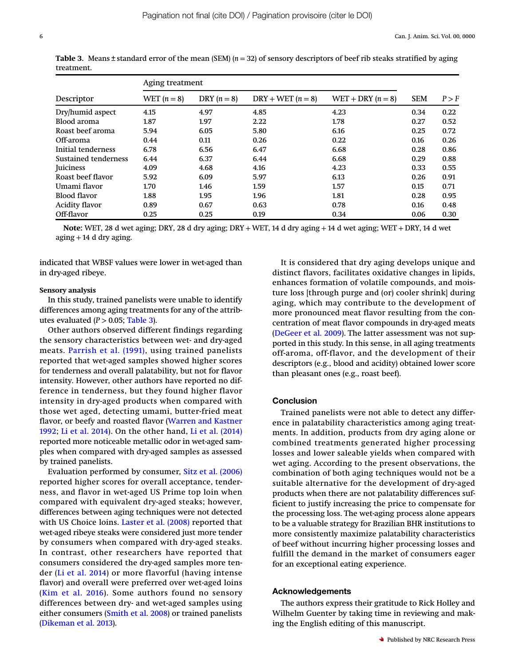| Descriptor            | Aging treatment |             |                     |                     |            |       |
|-----------------------|-----------------|-------------|---------------------|---------------------|------------|-------|
|                       | WET $(n = 8)$   | DRY $(n=8)$ | $DRY + WET (n = 8)$ | WET + DRY $(n = 8)$ | <b>SEM</b> | P > F |
| Dry/humid aspect      | 4.15            | 4.97        | 4.85                | 4.23                | 0.34       | 0.22  |
| Blood aroma           | 1.87            | 1.97        | 2.22                | 1.78                | 0.27       | 0.52  |
| Roast beef aroma      | 5.94            | 6.05        | 5.80                | 6.16                | 0.25       | 0.72  |
| Off-aroma             | 0.44            | 0.11        | 0.26                | 0.22                | 0.16       | 0.26  |
| Initial tenderness    | 6.78            | 6.56        | 6.47                | 6.68                | 0.28       | 0.86  |
| Sustained tenderness  | 6.44            | 6.37        | 6.44                | 6.68                | 0.29       | 0.88  |
| Juiciness             | 4.09            | 4.68        | 4.16                | 4.23                | 0.33       | 0.55  |
| Roast beef flavor     | 5.92            | 6.09        | 5.97                | 6.13                | 0.26       | 0.91  |
| Umami flavor          | 1.70            | 1.46        | 1.59                | 1.57                | 0.15       | 0.71  |
| Blood flavor          | 1.88            | 1.95        | 1.96                | 1.81                | 0.28       | 0.95  |
| <b>Acidity flavor</b> | 0.89            | 0.67        | 0.63                | 0.78                | 0.16       | 0.48  |
| Off-flavor            | 0.25            | 0.25        | 0.19                | 0.34                | 0.06       | 0.30  |

<span id="page-5-0"></span>**Table 3.** Means  $\pm$  standard error of the mean (SEM) ( $n = 32$ ) of sensory descriptors of beef rib steaks stratified by aging treatment.

Note: WET, 28 d wet aging; DRY, 28 d dry aging; DRY + WET, 14 d dry aging + 14 d wet aging; WET + DRY, 14 d wet  $aging + 14$  d dry aging.

indicated that WBSF values were lower in wet-aged than in dry-aged ribeye.

#### Sensory analysis

In this study, trained panelists were unable to identify differences among aging treatments for any of the attributes evaluated  $(P > 0.05;$  [Table 3](#page-5-0)).

Other authors observed different findings regarding the sensory characteristics between wet- and dry-aged meats. [Parrish et al. \(1991\)](#page-6-19), using trained panelists reported that wet-aged samples showed higher scores for tenderness and overall palatability, but not for flavor intensity. However, other authors have reported no difference in tenderness, but they found higher flavor intensity in dry-aged products when compared with those wet aged, detecting umami, butter-fried meat flavor, or beefy and roasted flavor ([Warren and Kastner](#page-7-1) [1992](#page-7-1); [Li et al. 2014\)](#page-6-17). On the other hand, [Li et al. \(2014\)](#page-6-17) reported more noticeable metallic odor in wet-aged samples when compared with dry-aged samples as assessed by trained panelists.

Evaluation performed by consumer, [Sitz et al. \(2006\)](#page-6-30) reported higher scores for overall acceptance, tenderness, and flavor in wet-aged US Prime top loin when compared with equivalent dry-aged steaks; however, differences between aging techniques were not detected with US Choice loins. [Laster et al. \(2008\)](#page-6-14) reported that wet-aged ribeye steaks were considered just more tender by consumers when compared with dry-aged steaks. In contrast, other researchers have reported that consumers considered the dry-aged samples more tender ([Li et al. 2014\)](#page-6-17) or more flavorful (having intense flavor) and overall were preferred over wet-aged loins ([Kim et al. 2016\)](#page-6-18). Some authors found no sensory differences between dry- and wet-aged samples using either consumers ([Smith et al. 2008](#page-6-15)) or trained panelists ([Dikeman et al. 2013](#page-6-16)).

It is considered that dry aging develops unique and distinct flavors, facilitates oxidative changes in lipids, enhances formation of volatile compounds, and moisture loss [through purge and (or) cooler shrink] during aging, which may contribute to the development of more pronounced meat flavor resulting from the concentration of meat flavor compounds in dry-aged meats ([DeGeer et al. 2009](#page-6-31)). The latter assessment was not supported in this study. In this sense, in all aging treatments off-aroma, off-flavor, and the development of their descriptors (e.g., blood and acidity) obtained lower score than pleasant ones (e.g., roast beef).

### **Conclusion**

Trained panelists were not able to detect any difference in palatability characteristics among aging treatments. In addition, products from dry aging alone or combined treatments generated higher processing losses and lower saleable yields when compared with wet aging. According to the present observations, the combination of both aging techniques would not be a suitable alternative for the development of dry-aged products when there are not palatability differences sufficient to justify increasing the price to compensate for the processing loss. The wet-aging process alone appears to be a valuable strategy for Brazilian BHR institutions to more consistently maximize palatability characteristics of beef without incurring higher processing losses and fulfill the demand in the market of consumers eager for an exceptional eating experience.

#### Acknowledgements

The authors express their gratitude to Rick Holley and Wilhelm Guenter by taking time in reviewing and making the English editing of this manuscript.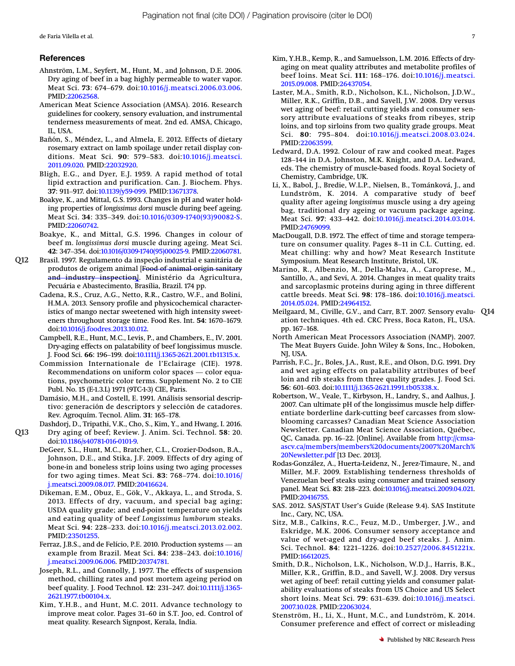de Faria Vilella et al. 7

#### References

- <span id="page-6-4"></span>Ahnström, L.M., Seyfert, M., Hunt, M., and Johnson, D.E. 2006. Dry aging of beef in a bag highly permeable to water vapor. **eferences**<br>ınström, L.M., Seyfert, M., Hunt, M., and Johnson, D.E. 2006.<br>Dry aging of beef in a bag highly permeable to water vapor.<br>Meat Sci. 73: 674–679. doi:[10.1016/j.meatsci.2006.03.006.](http://dx.doi.org/10.1016/j.meatsci.2006.03.006) PMID:[22062568.](http://www.ncbi.nlm.nih.gov/pubmed/22062568)
- <span id="page-6-9"></span>American Meat Science Association (AMSA). 2016. Research guidelines for cookery, sensory evaluation, and instrumental tenderness measurements of meat. 2nd ed. AMSA, Chicago, IL, USA.
- <span id="page-6-22"></span>Bañón, S., Méndez, L., and Almela, E. 2012. Effects of dietary rosemary extract on lamb spoilage under retail display conditions. Measurements of meat. 2nd ca. 11404, ontelgo,<br>IL, USA.<br>ñón, S., Méndez, L., and Almela, E. 2012. Effects of dietary<br>rosemary extract on lamb spoilage under retail display con-<br>ditions. Meat Sci. **90**: 579–583. doi [2011.09.020.](http://dx.doi.org/10.1016/j.meatsci.2011.09.020) PMID[:22032920.](http://www.ncbi.nlm.nih.gov/pubmed/22032920)
- <span id="page-6-8"></span>Bligh, E.G., and Dyer, E.J. 1959. A rapid method of total lipid extraction and purification. Can. J. Biochem. Phys. 2011.09.020. PMID:22032920.<br>2011.09.020. PMID:22032920.<br>ligh, E.G., and Dyer, E.J. 1959. A rapid met<br>lipid extraction and purification. Can. J. Bio<br>37: 911–917. doi:[10.1139/y59-099.](http://dx.doi.org/10.1139/y59-099) PMID:[13671378.](http://www.ncbi.nlm.nih.gov/pubmed/13671378)
- <span id="page-6-20"></span>Boakye, K., and Mittal, G.S. 1993. Changes in pH and water holding properties of longissimus dorsi muscle during beef ageing. Apple Catraction and purification: Can. J. Biochem. 1 ny.<br>37: 911–917. doi:10.1139/y59-099. PMID:13671378.<br>akye, K., and Mittal, G.S. 1993. Changes in pH and water hold-<br>ing properties of longissimus dorsi muscle during be PMID:[22060742](http://www.ncbi.nlm.nih.gov/pubmed/22060742).
- <span id="page-6-24"></span>Boakye, K., and Mittal, G.S. 1996. Changes in colour of beef m. longissimus dorsi muscle during ageing. Meat Sci. FMID:22060742.<br>
RMID:22060742.<br>
akye, K., and Mittal, G.S. 1996. Changes in colour of<br>
beef m. longissimus dorsi muscle during ageing. Meat Sci.<br>
42: 347–354. doi[:10.1016/0309-1740\(95\)00025-9.](http://dx.doi.org/10.1016/0309-1740(95)00025-9) PMID:[22060781](http://www.ncbi.nlm.nih.gov/pubmed/22060781).
- <span id="page-6-10"></span><span id="page-6-5"></span><span id="page-6-3"></span>Q12 Brasil. 1997. Regulamento da inspeção industrial e sanitária de produtos de origem animal [Food of animal origin sanitary and industry inspection]. Ministério da Agricultura, Pecuária e Abastecimento, Brasília, Brazil. 174 pp.
	- Cadena, R.S., Cruz, A.G., Netto, R.R., Castro, W.F., and Bolini, H.M.A. 2013. Sensory profile and physicochemical characteristics of mango nectar sweetened with high intensity sweeteners throughout storage time. Food Res. H.M.A. 2013. Sensory profile and physicochemical characteristics of mango nectar sweetened with high intensity sweetdoi[:10.1016/j.foodres.2013.10.012.](http://dx.doi.org/10.1016/j.foodres.2013.10.012)
	- Campbell, R.E., Hunt, M.C., Levis, P., and Chambers, E., IV. 2001. npoen, k.e., raint, M.e., Levis, r., and chambers, e., rv. 2001.<br>Dry-aging effects on palatability of beef longissimus muscle.<br>J. Food Sci. 66: 196–199. doi:10.1111/j.1365-2621.2001.tb11315.x.<br>Recommendations on uniform co doi:10.1016/j.foodres.2013.10.012.<br>doi:10.1016/j.foodres.2013.10.012.<br>Dry-aging effects on palatability of beef longissimus muscle<br>J. Food Sci. 66: 196–199. doi:[10.1111/j.1365-2621.2001.tb11315.x](http://dx.doi.org/10.1111/j.1365-2621.2001.tb11315.x).
	- Commission Internationale de l'Eclairage (CIE). 1978. tions, psychometric color terms. Supplement No. 2 to CIE
	- Publ. No. 15 (E-1.3.L) 1971 (9TC-1-3) CIE, Paris. Rev. Agroquím. Tecnol. Alim. <sup>31</sup>: 165–178. Damásio, M.H., and Costell, E. 1991. Análisis sensorial descriptivo: generación de descriptors y selección de catadores.

<span id="page-6-31"></span><span id="page-6-11"></span><span id="page-6-7"></span><span id="page-6-2"></span>Dashdorj, D., Tripathi, V.K., Cho, S., Kim, Y., and Hwang, I. 2016.

- <span id="page-6-29"></span><span id="page-6-26"></span><span id="page-6-16"></span><span id="page-6-0"></span>Q13 Dry aging of beef; Review. J. Anim. Sci. Technol. 58: 20. doi[:10.1186/s40781-016-0101-9.](http://dx.doi.org/10.1186/s40781-016-0101-9)
	- DeGeer, S.L., Hunt, M.C., Bratcher, C.L., Crozier-Dodson, B.A., Johnson, D.E., and Stika, J.F. 2009. Effects of dry aging of bone-in and boneless strip loins using two aging processes for two aging times. Meat Sci. <sup>83</sup>: 768–774. doi[:10.1016/](http://dx.doi.org/10.1016/j.meatsci.2009.08.017) [j.meatsci.2009.08.017.](http://dx.doi.org/10.1016/j.meatsci.2009.08.017) PMID:[20416624.](http://www.ncbi.nlm.nih.gov/pubmed/20416624)
	- Dikeman, E.M., Obuz, E., Gök, V., Akkaya, L., and Stroda, S. 2013. Effects of dry, vacuum, and special bag aging; USDA quality grade; and end-point temperature on yields and eating quality of beef Longissimus lumborum steaks. Reman, E.M., Obuz, E., Ook, V., Tikkaya, E., and Stroda, S.<br>2013. Effects of dry, vacuum, and special bag aging;<br>USDA quality grade; and end-point temperature on yields<br>and eating quality of beef Longissimus lumborum steak PMID:[23501255](http://www.ncbi.nlm.nih.gov/pubmed/23501255). and cating quarty of beer *Eorgessmas tamboram steaks.*<br>Meat Sci. **94**: 228–233. doi:[10.1016/](http://dx.doi.org/10.1016/j.meatsci.2009.06.006)j.meatsci.2013.02.002.<br>PMID:23501255.<br>rraz, J.B.S., and de Felício, P.E. 2010. Production systems — an<br>example from Brazil. Meat
	- Ferraz, J.B.S., and de Felício, P.E. 2010. Production systems an [j.meatsci.2009.06.006](http://dx.doi.org/10.1016/j.meatsci.2009.06.006). PMID:[20374781.](http://www.ncbi.nlm.nih.gov/pubmed/20374781)
	- Joseph, R.L., and Connolly, J. 1977. The effects of suspension method, chilling rates and post mortem ageing period on beampte from brazn. Meat 3cf. 04. 250–245. doi.10.1010<br>j.meatsci.2009.06.006. PMID:20374781.<br>seph, R.L., and Connolly, J. 1977. The effects of suspension<br>method, chilling rates and post mortem ageing period on<br>beef quality [2621.1977.tb00104.x](http://dx.doi.org/10.1111/j.1365-2621.1977.tb00104.x). beef quality. J. Food Technol. 12: 231–247. doi:10.1111/j.1365-<br>2621.1977.tb00104.x.<br>m, Y.H.B., and Hunt, M.C. 2011. Advance technology to<br>improve meat color. Pages 31–60 in S.T. Joo, ed. Control of
	- Kim, Y.H.B., and Hunt, M.C. 2011. Advance technology to meat quality. Research Signpost, Kerala, India.
- <span id="page-6-18"></span>Kim, Y.H.B., Kemp, R., and Samuelsson, L.M. 2016. Effects of dryaging on meat quality attributes and metabolite profiles of m, Y.H.B., Kemp, R., and Samuelsson, L.M. 2016. Effects of dry-<br>aging on meat quality attributes and metabolite profiles of<br>beef loins. Meat Sci. 111: 168–176. doi:[10.1016/j.meatsci.](http://dx.doi.org/10.1016/j.meatsci.2015.09.008) [2015.09.008.](http://dx.doi.org/10.1016/j.meatsci.2015.09.008) PMID[:26437054](http://www.ncbi.nlm.nih.gov/pubmed/26437054).
- <span id="page-6-14"></span>Laster, M.A., Smith, R.D., Nicholson, K.L., Nicholson, J.D.W., Miller, R.K., Griffin, D.B., and Savell, J.W. 2008. Dry versus whilet, K.K., Griffin, D.B., and Saven, J.W. 2006. Dry versus<br>wet aging of beef: retail cutting yields and consumer sen-<br>sory attribute evaluations of steaks from ribeyes, strip<br>loins, and top sirloins from two quality gra sory attribute evaluations of steaks from ribeyes, strip loins, and top sirloins from two quality grade groups. Meat PMID[:22063599.](http://www.ncbi.nlm.nih.gov/pubmed/22063599) 10111s, and top smoms from two quanty grade groups. Meat<br>Sci. 80: 795–804. doi:10.1016/j.meatsci.2008.03.024.<br>PMID:22063599.<br>128–144 in D.A. Johnston, M.K. Knight, and D.A. Ledward,
- <span id="page-6-27"></span>Ledward, D.A. 1992. Colour of raw and cooked meat. Pages eds. The chemistry of muscle-based foods. Royal Society of Chemistry, Cambridge, UK.
- <span id="page-6-17"></span>Li, X., Babol, J., Bredie, W.L.P., Nielsen, B., Tománková, J., and A., babot, J., breule, w.L.F., Netsen, b., Tomankova, J., and<br>Lundström, K. 2014. A comparative study of beef<br>quality after ageing longissimus muscle using a dry ageing<br>bag, traditional dry ageing or vacuum package ageing. quality after ageing longissimus muscle using a dry ageing bag, traditional dry ageing or vacuum package ageing. PMID[:24769099.](http://www.ncbi.nlm.nih.gov/pubmed/24769099) bag, traditional dry ageing or vacuum package ageing.<br>Meat Sci. **97**: 433–442. doi:10.1016/j.meatsci.2014.03.014.<br>PMID:24769099.<br>icDougall, D.B. 1972. The effect of time and storage tempera-<br>ture on consumer quality. Pages
- <span id="page-6-28"></span>MacDougall, D.B. 1972. The effect of time and storage tempera-Meat chilling: why and how? Meat Research Institute Symposium. Meat Research Institute, Bristol, UK.
- <span id="page-6-23"></span>Marino, R., Albenzio, M., Della-Malva, A., Caroprese, M., Santillo, A., and Sevi, A. 2014. Changes in meat quality traits and sarcoplasmic proteins during aging in three different symposium. Meat Research institute, bristol, OK.<br>Irino, R., Albenzio, M., Della-Malva, A., Caroprese, M.,<br>Santillo, A., and Sevi, A. 2014. Changes in meat quality traits<br>and sarcoplasmic proteins during aging in three diff [2014.05.024](http://dx.doi.org/10.1016/j.meatsci.2014.05.024). PMID:[24964152.](http://www.ncbi.nlm.nih.gov/pubmed/24964152)
- <span id="page-6-12"></span>Meilgaard, M., Civille, G.V., and Carr, B.T. 2007. Sensory evalu- Q14 ation techniques. 4th ed. CRC Press, Boca Raton, FL, USA. 2014.05.024.<br>|- ilgaard, M.,<br>|ation techn<br>|pp. 167–168.
- <span id="page-6-6"></span>North American Meat Processors Association (NAMP). 2007. The Meat Buyers Guide. John Wiley & Sons, Inc., Hoboken, NJ, USA.
- <span id="page-6-19"></span>Parrish, F.C., Jr., Boles, J.A., Rust, R.E., and Olson, D.G. 1991. Dry and wet aging effects on palatability attributes of beef loin and rib steaks from three quality grades. J. Food Sci. ry, O3r.<br>rrish, F.C., Jr., Boles, J.A., Rust, R.E., and Olson, D.(<br>and wet aging effects on palatability attribu<br>loin and rib steaks from three quality grades.<br>**56**: 601–603. doi:[10.1111/j.1365-2621.1991.tb05338.x](http://dx.doi.org/10.1111/j.1365-2621.1991.tb05338.x).
- <span id="page-6-25"></span>Robertson, W., Veale, T., Kirbyson, H., Landry, S., and Aalhus, J. 2007. Can ultimate pH of the longissimus muscle help differentiate borderline dark-cutting beef carcasses from slowblooming carcasses? Canadian Meat Science Association Newsletter. Canadian Meat Science Association, Québec, QC, Canada. pp. 16–22. [Online]. Available from [http://cmsa](http://cmsa-ascv.ca/members/members%20documents/2007%20March%20Newsletter.pdf)[ascv.ca/members/members%20documents/2007%20March%](http://cmsa-ascv.ca/members/members%20documents/2007%20March%20Newsletter.pdf) [20Newsletter.pdf](http://cmsa-ascv.ca/members/members%20documents/2007%20March%20Newsletter.pdf) [13 Dec. 2013].
- <span id="page-6-1"></span>Rodas-González, A., Huerta-Leidenz, N., Jerez-Timaure, N., and Miller, M.F. 2009. Establishing tenderness thresholds of Venezuelan beef steaks using consumer and trained sensory zowewsietter.pdf [13 Dec. 2015].<br>das-González, A., Huerta-Leidenz, N., Jerez-Timaure, N., and<br>Miller, M.F. 2009. Establishing tenderness thresholds of<br>Venezuelan beef steaks using consumer and trained sensory<br>panel. Meat S PMID[:20416755.](http://www.ncbi.nlm.nih.gov/pubmed/20416755)
- <span id="page-6-13"></span>SAS. 2012. SAS/STAT User's Guide (Release 9.4). SAS Institute Inc., Cary, NC, USA.
- <span id="page-6-30"></span>Sitz, M.B., Calkins, R.C., Feuz, M.D., Umberger, J.W., and<br>Eskridge, M.K. 2006. Consumer sensory acceptance and<br>value of wet-aged and dry-aged beef steaks. J. Anim.<br>Sci. Technol. **84**: 1221–1226. doi:[10.2527/2006.8451221x.](http://dx.doi.org/10.2527/2006.8451221x) Eskridge, M.K. 2006. Consumer sensory acceptance and value of wet-aged and dry-aged beef steaks. J. Anim. PMID:[16612025.](http://www.ncbi.nlm.nih.gov/pubmed/16612025)
- <span id="page-6-15"></span>Smith, D.R., Nicholson, L.K., Nicholson, W.D.J., Harris, B.K., min, D.R., Nicholson, L.R., Nicholson, W.D.J., Harris, B.R.,<br>Miller, K.R., Griffin, B.D., and Savell, W.J. 2008. Dry versus<br>wet aging of beef: retail cutting yields and consumer palat-<br>ability evaluations of steaks from US wet aging of beef: retail cutting yields and consumer palatability evaluations of steaks from US Choice and US Select [2007.10.028.](http://dx.doi.org/10.1016/j.meatsci.2007.10.028) PMID[:22063024](http://www.ncbi.nlm.nih.gov/pubmed/22063024).
- <span id="page-6-21"></span>Stenström, H., Li, X., Hunt, M.C., and Lundström, K. 2014. Consumer preference and effect of correct or misleading